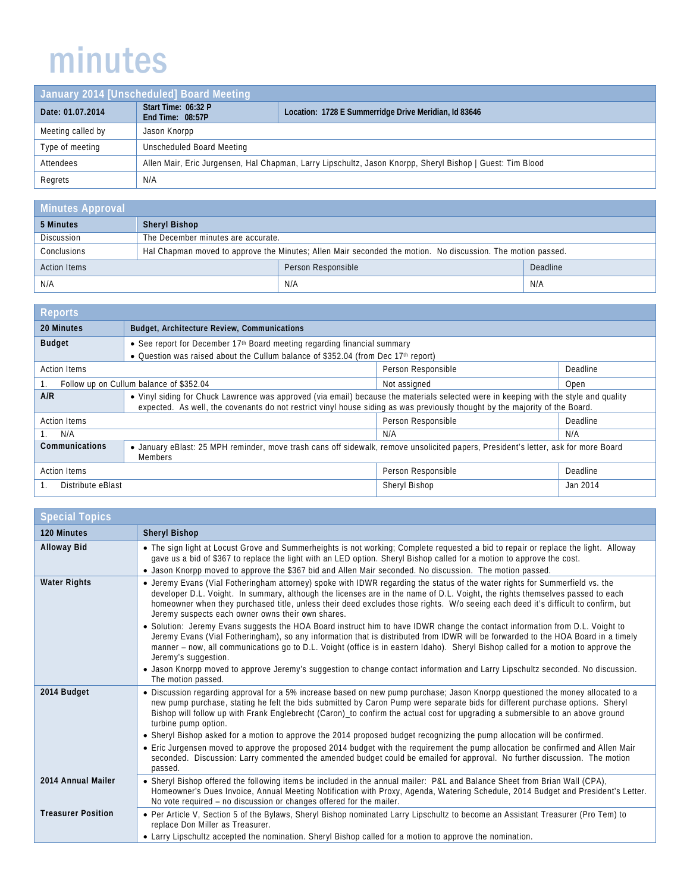## minutes

| January 2014 [Unscheduled] Board Meeting |                                                                                                           |                                                       |
|------------------------------------------|-----------------------------------------------------------------------------------------------------------|-------------------------------------------------------|
| Date: 01.07.2014                         | Start Time: 06:32 P<br>End Time: 08:57P                                                                   | Location: 1728 E Summerridge Drive Meridian, Id 83646 |
| Meeting called by                        | Jason Knorpp                                                                                              |                                                       |
| Type of meeting                          | Unscheduled Board Meeting                                                                                 |                                                       |
| Attendees                                | Allen Mair, Eric Jurgensen, Hal Chapman, Larry Lipschultz, Jason Knorpp, Sheryl Bishop   Guest: Tim Blood |                                                       |
| Regrets                                  | N/A                                                                                                       |                                                       |

| <b>Minutes Approval</b> |                                                                                                             |                    |          |
|-------------------------|-------------------------------------------------------------------------------------------------------------|--------------------|----------|
| 5 Minutes               | <b>Sheryl Bishop</b>                                                                                        |                    |          |
| <b>Discussion</b>       | The December minutes are accurate.                                                                          |                    |          |
| Conclusions             | Hal Chapman moved to approve the Minutes; Allen Mair seconded the motion. No discussion. The motion passed. |                    |          |
| <b>Action Items</b>     |                                                                                                             | Person Responsible | Deadline |
| N/A                     |                                                                                                             | N/A                | N/A      |

| <b>Reports</b>                                                  |                                                                                                                                                                                                                                                                     |                    |          |
|-----------------------------------------------------------------|---------------------------------------------------------------------------------------------------------------------------------------------------------------------------------------------------------------------------------------------------------------------|--------------------|----------|
| 20 Minutes                                                      | Budget, Architecture Review, Communications                                                                                                                                                                                                                         |                    |          |
| <b>Budget</b>                                                   | • See report for December 17 <sup>th</sup> Board meeting regarding financial summary<br>• Question was raised about the Cullum balance of \$352.04 (from Dec 17th report)                                                                                           |                    |          |
| <b>Action Items</b>                                             |                                                                                                                                                                                                                                                                     | Person Responsible | Deadline |
| Follow up on Cullum balance of \$352.04<br>Not assigned<br>Open |                                                                                                                                                                                                                                                                     |                    |          |
| A/R                                                             | • Vinyl siding for Chuck Lawrence was approved (via email) because the materials selected were in keeping with the style and quality<br>expected. As well, the covenants do not restrict vinyl house siding as was previously thought by the majority of the Board. |                    |          |
| <b>Action Items</b>                                             |                                                                                                                                                                                                                                                                     | Person Responsible | Deadline |
| N/A                                                             |                                                                                                                                                                                                                                                                     | N/A                | N/A      |
| Communications                                                  | • January eBlast: 25 MPH reminder, move trash cans off sidewalk, remove unsolicited papers, President's letter, ask for more Board<br><b>Members</b>                                                                                                                |                    |          |
| <b>Action Items</b>                                             |                                                                                                                                                                                                                                                                     | Person Responsible | Deadline |
| Distribute eBlast                                               |                                                                                                                                                                                                                                                                     | Sheryl Bishop      | Jan 2014 |

| <b>Special Topics</b>     |                                                                                                                                                                                                                                                                                                                                                                                                                                                                                                                                                                                         |
|---------------------------|-----------------------------------------------------------------------------------------------------------------------------------------------------------------------------------------------------------------------------------------------------------------------------------------------------------------------------------------------------------------------------------------------------------------------------------------------------------------------------------------------------------------------------------------------------------------------------------------|
| 120 Minutes               | <b>Sheryl Bishop</b>                                                                                                                                                                                                                                                                                                                                                                                                                                                                                                                                                                    |
| <b>Alloway Bid</b>        | • The sign light at Locust Grove and Summerheights is not working; Complete requested a bid to repair or replace the light. Alloway<br>gave us a bid of \$367 to replace the light with an LED option. Sheryl Bishop called for a motion to approve the cost.<br>• Jason Knorpp moved to approve the \$367 bid and Allen Mair seconded. No discussion. The motion passed.                                                                                                                                                                                                               |
| <b>Water Rights</b>       | • Jeremy Evans (Vial Fotheringham attorney) spoke with IDWR regarding the status of the water rights for Summerfield vs. the<br>developer D.L. Voight. In summary, although the licenses are in the name of D.L. Voight, the rights themselves passed to each<br>homeowner when they purchased title, unless their deed excludes those rights. W/o seeing each deed it's difficult to confirm, but<br>Jeremy suspects each owner owns their own shares.<br>• Solution: Jeremy Evans suggests the HOA Board instruct him to have IDWR change the contact information from D.L. Voight to |
|                           | Jeremy Evans (Vial Fotheringham), so any information that is distributed from IDWR will be forwarded to the HOA Board in a timely<br>manner – now, all communications go to D.L. Voight (office is in eastern Idaho). Sheryl Bishop called for a motion to approve the<br>Jeremy's suggestion.<br>• Jason Knorpp moved to approve Jeremy's suggestion to change contact information and Larry Lipschultz seconded. No discussion.<br>The motion passed.                                                                                                                                 |
| 2014 Budget               | • Discussion regarding approval for a 5% increase based on new pump purchase; Jason Knorpp questioned the money allocated to a<br>new pump purchase, stating he felt the bids submitted by Caron Pump were separate bids for different purchase options. Sheryl<br>Bishop will follow up with Frank Englebrecht (Caron)_to confirm the actual cost for upgrading a submersible to an above ground<br>turbine pump option.                                                                                                                                                               |
|                           | • Sheryl Bishop asked for a motion to approve the 2014 proposed budget recognizing the pump allocation will be confirmed.<br>• Eric Jurgensen moved to approve the proposed 2014 budget with the requirement the pump allocation be confirmed and Allen Mair<br>seconded. Discussion: Larry commented the amended budget could be emailed for approval. No further discussion. The motion<br>passed.                                                                                                                                                                                    |
| 2014 Annual Mailer        | • Sheryl Bishop offered the following items be included in the annual mailer: P&L and Balance Sheet from Brian Wall (CPA),<br>Homeowner's Dues Invoice, Annual Meeting Notification with Proxy, Agenda, Watering Schedule, 2014 Budget and President's Letter.<br>No vote required – no discussion or changes offered for the mailer.                                                                                                                                                                                                                                                   |
| <b>Treasurer Position</b> | • Per Article V, Section 5 of the Bylaws, Sheryl Bishop nominated Larry Lipschultz to become an Assistant Treasurer (Pro Tem) to<br>replace Don Miller as Treasurer.<br>• Larry Lipschultz accepted the nomination. Sheryl Bishop called for a motion to approve the nomination.                                                                                                                                                                                                                                                                                                        |
|                           |                                                                                                                                                                                                                                                                                                                                                                                                                                                                                                                                                                                         |